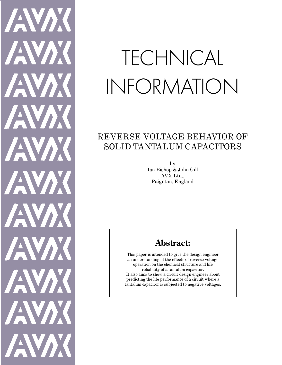AVAX AVAK AVAX AVA AVA AVAK AVA AVAX AVA AVAX AVA

# **TECHNICAL** INFORMATION

# REVERSE VOLTAGE BEHAVIOR OF SOLID TANTALUM CAPACITORS

by Ian Bishop & John Gill AVX Ltd., Paignton, England

# **Abstract:**

This paper is intended to give the design engineer an understanding of the effects of reverse voltage operation on the chemical structure and life reliability of a tantalum capacitor. It also aims to show a circuit design engineer about predicting the life performance of a circuit where a tantalum capacitor is subjected to negative voltages.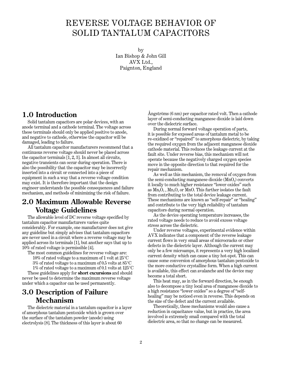## REVERSE VOLTAGE BEHAVIOR OF SOLID TANTALUM CAPACITORS

by Ian Bishop & John Gill AVX Ltd., Paignton, England

## **1.0 Introduction**

Solid tantalum capacitors are polar devices, with an anode terminal and a cathode terminal. The voltage across these terminals should only be applied positive to anode, and negative to cathode, otherwise the capacitor will be damaged, leading to failure.

All tantalum capacitor manufacturers recommend that a continuous reverse voltage should never be placed across the capacitor terminals  $[\overline{1}, 2, 3]$ . In almost all circuits, negative transients can occur during operation. There is also the possibility that the capacitor may be incorrectly inserted into a circuit or connected into a piece of equipment in such a way that a reverse voltage condition may exist. It is therefore important that the design engineer understands the possible consequences and failure mechanism, and methods of minimizing the risk of failure.

## **2.0 Maximum Allowable Reverse Voltage Guidelines**

The allowable level of DC reverse voltage specified by tantalum capacitor manufacturers varies quite considerably. For example, one manufacturer does not give any guideline but simply advises that tantalum capacitors are never used in a circuit where a reverse voltage may be applied across its terminals [1], but another says that up to 10% of rated voltage is permissible [4].

The most common guidelines for reverse voltage are: 10% of rated voltage to a maximum of 1 volt at 25°C

3% of rated voltage to a maximum of 0.5 volts at 85°C 1% of rated voltage to a maximum of 0.1 volts at 125°C

These guidelines apply for **short excursions** and should never be used to determine the maximum reverse voltage under which a capacitor can be used permanently.

## **3.0 Description of Failure Mechanism**

The dielectric material in a tantalum capacitor is a layer of amorphous tantalum pentoxide which is grown over the surface of the tantalum powder (anode) using electrolysis [8]. The thickness of this layer is about 60

Ångströms (6 nm) per capacitor rated volt. Then a cathode layer of semi-conducting manganese dioxide is laid down over the dielectric surface.

During normal forward voltage operation of parts, it is possible for exposed areas of tantalum metal to be re-oxidized or "repaired" to amorphous dielectric, by taking the required oxygen from the adjacent manganese dioxide cathode material. This reduces the leakage current at the fault site. Under reverse bias, this mechanism will not operate because the negatively charged oxygen species move in the opposite direction to that required for the repair mechanism.

As well as this mechanism, the removal of oxygen from the semi-conducting manganese dioxide  $(MnO<sub>2</sub>)$  converts it locally to much higher resistance "lower oxides" such as  $Mn_2O_3$ ,  $Mn_3O_4$  or MnO. This further isolates the fault from contributing to the total device leakage current. These mechanisms are known as "self-repair" or "healing" and contribute to the very high reliability of tantalum capacitors during normal operation.

As the device operating temperature increases, the rated voltage needs to reduce to avoid excess voltage stress across the dielectric.

Under reverse voltages, experimental evidence within AVX indicates that a component of the reverse leakage current flows in very small areas of microcracks or other defects in the dielectric layer. Although the current may only be a few microamps, it represents a very high localized current density which can cause a tiny hot-spot. This can cause some conversion of amorphous tantalum pentoxide to the more conductive crystalline form. When a high current is available, this effect can avalanche and the device may become a total short.

This heat may, as in the forward direction, be enough also to decompose a tiny local area of manganese dioxide to a high resistance "lower oxides" so a degree of "selfhealing" may be noticed even in reverse. This depends on the size of the defect and the current available.

Theoretically, these mechanisms would also cause a reduction in capacitance value, but in practice, the area involved is extremely small compared with the total dielectric area, so that no change can be measured.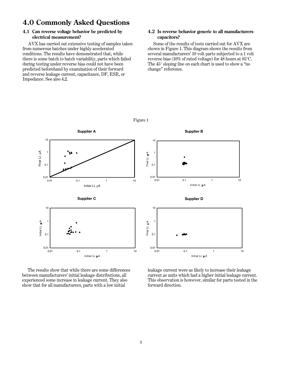## **4.0 Commonly Asked Questions**

#### **4.1 Can reverse voltage behavior be predicted by electrical measurement?**

AVX has carried out extensive testing of samples taken from numerous batches under highly accelerated conditions. The results have demonstrated that, while there is some batch to batch variability, parts which failed during testing under reverse bias could not have been predicted beforehand by examination of their forward and reverse leakage current, capacitance, DF, ESR, or Impedance. See also 4.2.

#### **4.2 Is reverse behavior generic to all manufacturers capacitors?**

Some of the results of tests carried out for AVX are shown in Figure 1. This diagram shows the results from several manufacturers' 10 volt parts subjected to a 1 volt reverse bias (10% of rated voltage) for 48 hours at 85°C. The 45° sloping line on each chart is used to show a "no change" reference.



Figure 1

The results show that while there are some differences between manufacturers' initial leakage distributions, all experienced some increase in leakage current. They also show that for all manufacturers, parts with a low initial

leakage current were as likely to increase their leakage current as units which had a higher initial leakage current. This observation is however, similar for parts tested in the forward direction.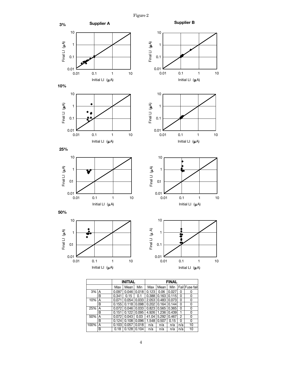

|      |   | <b>INITIAL</b> |       |       | <b>FINAL</b> |       |       |     |                |
|------|---|----------------|-------|-------|--------------|-------|-------|-----|----------------|
|      |   | Max            | Mean  | Min   | Max          | Mean  | Min   |     | Fail Fuse fail |
| 3%   | А | 0.097          | 0.046 | 0.018 | 0.123        | 0.06  | 0.027 | ი   | 0              |
|      | B | 0.341          | 0.15  | 0.1   | 0.388        | 0.163 | 0.115 | 0   | 0              |
| 10%  | Α | 0.071          | 0.054 | 0.033 | 2.053        | 0.483 | 0.073 | 0   | 0              |
|      | B | 0.155          | 0.118 | 0.098 | 0.202        | 0.164 | 0.144 | 0   | 0              |
| 25%  | Α | 0.072          | 0.046 | 0.033 | 0.823        | 0.565 | 0.365 | 0   | 0              |
|      | B | 0.151          | 0.122 | 0.095 | 4.926        | 1.236 | 0.439 |     | 0              |
| 50%  | А | 0.072          | 0.043 | 0.03  | 41.04        | 5.292 | 0.467 | 2   | 0              |
|      | B | 0.124          | 0.108 | 0.096 | 1.548        | 0.507 | 0.15  | 0   | 0              |
| 100% | А | 0.103          | 0.057 | 0.018 | n/a          | n/a   | n/a   | n/a | 10             |
|      | В | 0.18           | 0.128 | 0.104 | n/a          | n/a   | n/a   | n/a | 10             |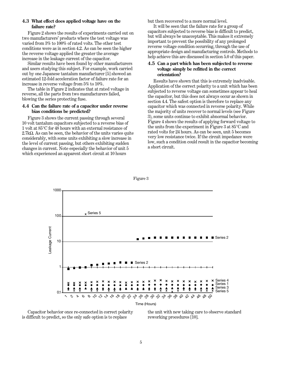#### **4.3 What effect does applied voltage have on the failure rate?**

Figure 2 shows the results of experiments carried out on two manufacturers' products where the test voltage was varied from 3% to 100% of rated volts. The other test conditions were as in section 4.2. As can be seen the higher the reverse voltage applied the greater the average increase in the leakage current of the capacitor.

Similar results have been found by other manufacturers and users studying this subject. For example, work carried out by one Japanese tantalum manufacturer [5] showed an estimated 12-fold acceleration factor of failure rate for an increase in reverse voltage from 5% to 10%.

The table in Figure 2 indicates that at rated voltage in reverse, all the parts from two manufacturers failed, blowing the series protecting fuse.

#### **4.4 Can the failure rate of a capacitor under reverse bias conditions be predicted?**

Figure 3 shows the current passing through several 10 volt tantalum capacitors subjected to a reverse bias of 1 volt at 85°C for 48 hours with an external resistance of  $2.7k\Omega$ . As can be seen, the behavior of the units varies quite considerably, with some units exhibiting a slow increase in the level of current passing, but others exhibiting sudden changes in current. Note especially the behavior of unit 5 which experienced an apparent short circuit at 10 hours

but then recovered to a more normal level.

It will be seen that the failure rate for a group of capacitors subjected to reverse bias is difficult to predict, but will always be unacceptable. This makes it extremely important to prevent the possibility of any prolonged reverse voltage condition occurring, through the use of appropriate design and manufacturing controls. Methods to help achieve this are discussed in section 5.0 of this paper.

#### **4.5 Can a part which has been subjected to reverse voltage simply be refitted in the correct orientation?**

Results have shown that this is extremely inadvisable. Application of the correct polarity to a unit which has been subjected to reverse voltage can sometimes appear to heal the capacitor, but this does not always occur as shown in section 4.4. The safest option is therefore to replace any capacitor which was connected in reverse polarity. While the majority of units recover to normal levels (see Figure 3), some units continue to exhibit abnormal behavior. Figure 4 shows the results of applying forward voltage to the units from the experiment in Figure 3 at 85°C and rated volts for 24 hours. As can be seen, unit 5 becomes very low resistance twice. If the circuit impedance were low, such a condition could result in the capacitor becoming a short circuit.





Capacitor behavior once re-connected in correct polarity is difficult to predict, so the only safe option is to replace

the unit with new taking care to observe standard reworking procedures [10].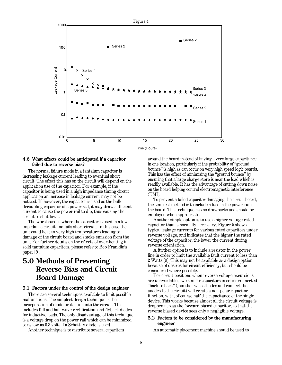

#### **4.6 What effects could be anticipated if a capacitor failed due to reverse bias?**

The normal failure mode in a tantalum capacitor is increasing leakage current leading to eventual short circuit. The effect this has on the circuit will depend on the application use of the capacitor. For example, if the capacitor is being used in a high impedance timing circuit application an increase in leakage current may not be noticed. If, however, the capacitor is used as the bulk decoupling capacitor of a power rail, it may draw sufficient current to cause the power rail to dip, thus causing the circuit to shutdown.

The worst case is where the capacitor is used in a low impedance circuit and fails short circuit. In this case the unit could heat to very high temperatures leading to damage of the circuit board and smoke emission from the unit. For further details on the effects of over-heating in solid tantalum capacitors, please refer to Bob Franklin's paper [9].

## **5.0 Methods of Preventing Reverse Bias and Circuit Board Damage**

#### **5.1 Factors under the control of the design engineer**

There are several techniques available to limit possible malfunctions. The simplest design technique is the incorporation of diode protection into the circuit. This includes full and half wave rectification, and flyback diodes for inductive loads. The only disadvantage of this technique is a voltage drop on the power rail which can be minimized to as low as 0.3 volts if a Schottky diode is used.

Another technique is to distribute several capacitors

around the board instead of having a very large capacitance in one location, particularly if the probability of "ground bounce" is high as can occur on very high speed logic boards. This has the effect of minimizing the "ground bounce" by ensuring that a large charge store is near the load which is readily available. It has the advantage of cutting down noise on the board helping control electromagnetic interference (EMI).

To prevent a failed capacitor damaging the circuit board, the simplest method is to include a fuse in the power rail of the board. This technique has no drawbacks and should be employed when appropriate.

Another simple option is to use a higher voltage rated capacitor than is normally necessary. Figure 5 shows typical leakage currents for various rated capacitors under reverse voltage, and indicates that the higher the rated voltage of the capacitor, the lower the current during reverse orientation.

A further option is to include a resistor in the power line in order to limit the available fault current to less than 2 Watts [9]. This may not be available as a design option because of desires for circuit efficiency, but should be considered where possible.

For circuit positions when reverse voltage excursions are unavoidable, two similar capacitors in series connected "back to back" (join the two cathodes and connect the anodes to the circuit) will create a non-polar capacitor function, with, of course half the capacitance of the single device. This works because almost all the circuit voltage is dropped across the forward biased capacitor, so that the reverse biased device sees only a negligible voltage.

#### **5.2 Factors to be considered by the manufacturing engineer**

An automatic placement machine should be used to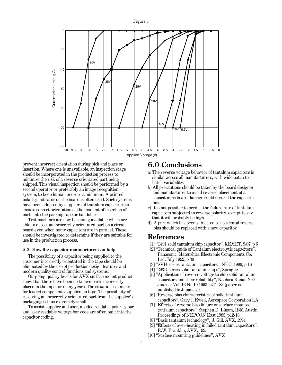Figure 5



prevent incorrect orientation during pick and place or insertion. Where one is unavailable, an inspection stage should be incorporated in the production process to minimize the risk of a reverse orientated part being shipped. This visual inspection should be performed by a second operator or preferably an image recognition system, to keep human error to a minimum. A printed polarity indicator on the board is often used. Such systems have been adopted by suppliers of tantalum capacitors to ensure correct orientation at the moment of insertion of parts into the packing tape or bandolier.

Test machines are now becoming available which are able to detect an incorrectly orientated part on a circuit board even when many capacitors are in parallel. These should be investigated to determine if they are suitable for use in the production process.

#### **5.3 How the capacitor manufacturer can help**

The possibility of a capacitor being supplied to the customer incorrectly orientated in the tape should be eliminated by the use of production design features and modern quality control functions and systems.

Outgoing quality levels for AVX surface mount product show that there have been no known parts incorrectly placed in the tape for many years. The situation is similar for leaded components supplied on tape. The possibility of receiving an incorrectly orientated part from the supplier's packaging is thus extremely small.

To assist supplier and user, a video readable polarity bar and laser readable voltage bar code are often built into the capacitor coding.

## **6.0 Conclusions**

- a) The reverse voltage behavior of tantalum capacitors is similar across all manufacturers, with wide batch to batch variability.
- b) All precautions should be taken by the board designer and manufacturer to avoid reverse placement of a capacitor, as board damage could occur if the capacitor fails.
- c) It is not possible to predict the failure rate of tantalum capacitors subjected to reverse polarity, except to say that it will probably be high.
- d) A part which has been subjected to accidental reverse bias should be replaced with a new capacitor.

### **References**

- [1] "T491 solid tantalum chip capacitor", KEMET, 9/87, p 6
- [2] "Technical guide of Tantalum electrolytic capacitors", Panasonic, Matsushita Electronic Components Co. Ltd, July 1992, p 39
- [3] "SVH-series tantalum capacitors", NEC, 1990, p 16
- [4] "293D-series solid tantalum chips", Sprague
- [5] "Application of reverse voltage to chip solid tantalum capacitors and their reliability", Naohisa Kanai, NEC Journal Vol. 16 No 10 1993, p77 - 83 {paper is published in Japanese}
- [6] "Reverse bias characteristics of solid tantalum capacitors", Gary J. Ewell, Aerospace Corporation LA
- [7] "Effects of reverse bias failure on surface mounted tantalum capacitors", Stephen D. Linam, IBM Austin, Proceedings of NEPCON East 1985, p12-16
- [8] "Basic tantalum technology", J. Gill, AVX, 1994
- [9] "Effects of over-heating in failed tantalum capacitors", R.W. Franklin, AVX, 1995
- [10] "Surface mounting guidelines", AVX